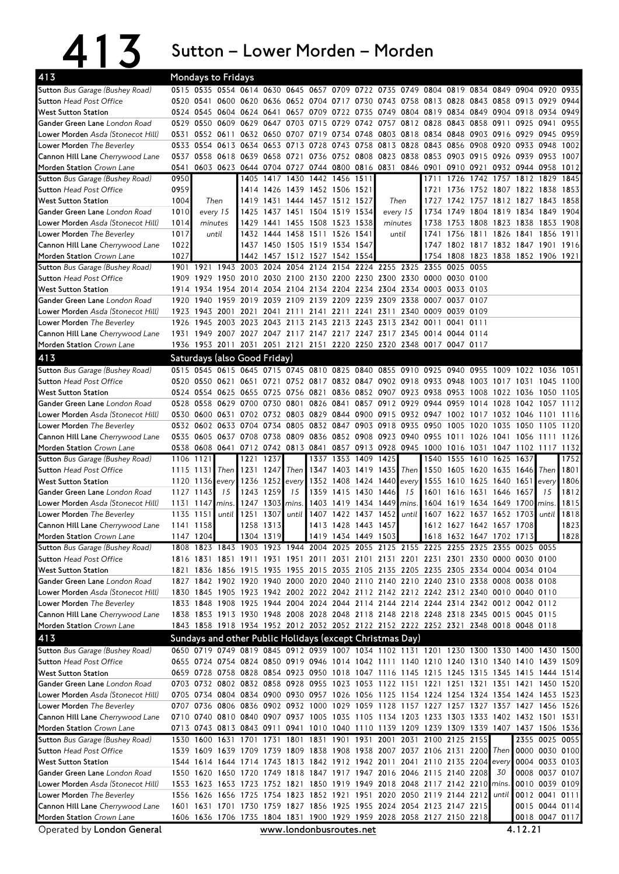|                                                                       |                           |                                |      |                              |                 |                 | Sutton - Lower Morden - Morden                                                                                                                                                         |                     |                                                   |      |                                                                          |                               |                     |                |                                  |              |
|-----------------------------------------------------------------------|---------------------------|--------------------------------|------|------------------------------|-----------------|-----------------|----------------------------------------------------------------------------------------------------------------------------------------------------------------------------------------|---------------------|---------------------------------------------------|------|--------------------------------------------------------------------------|-------------------------------|---------------------|----------------|----------------------------------|--------------|
| 413                                                                   | <b>Mondays to Fridays</b> |                                |      |                              |                 |                 |                                                                                                                                                                                        |                     |                                                   |      |                                                                          |                               |                     |                |                                  |              |
| Sutton Bus Garage (Bushey Road)                                       |                           |                                |      |                              |                 |                 | 0515 0535 0554 0614 0630 0645 0657 0709 0722 0735 0749 0804 0819 0834 0849 0904 0920 0935                                                                                              |                     |                                                   |      |                                                                          |                               |                     |                |                                  |              |
| <b>Sutton Head Post Office</b>                                        |                           |                                |      |                              |                 |                 | 0520 0541 0600 0620 0636 0652 0704 0717 0730 0743 0758 0813 0828 0843 0858 0913 0929 0944                                                                                              |                     |                                                   |      |                                                                          |                               |                     |                |                                  |              |
| <b>West Sutton Station</b>                                            |                           |                                |      |                              |                 |                 | 0524 0545 0604 0624 0641 0657 0709 0722 0735 0749 0804 0819 0834 0849 0904 0918 0934 0949                                                                                              |                     |                                                   |      |                                                                          |                               |                     |                |                                  |              |
| Gander Green Lane London Road                                         |                           |                                |      |                              |                 |                 | 0529 0550 0609 0629 0647 0703 0715 0729 0742 0757 0812 0828 0843 0858 0911 0925 0941                                                                                                   |                     |                                                   |      |                                                                          |                               |                     |                |                                  | 0955         |
| Lower Morden Asda (Stonecot Hill)<br><b>Lower Morden</b> The Beverley |                           |                                |      |                              |                 |                 | 0531 0552 0611 0632 0650 0707 0719 0734 0748 0803 0818 0834 0848 0903 0916 0929 0945 0959<br>0533 0554 0613 0634 0653 0713 0728 0743 0758 0813 0828 0843 0856 0908 0920 0933 0948      |                     |                                                   |      |                                                                          |                               |                     |                |                                  | 1002         |
| Cannon Hill Lane Cherrywood Lane                                      |                           |                                |      |                              |                 |                 | 0537 0558 0618 0639 0658 0721 0736 0752 0808 0823 0838 0853 0903 0915 0926 0939 0953 1007                                                                                              |                     |                                                   |      |                                                                          |                               |                     |                |                                  |              |
| Morden Station Crown Lane                                             | 0541                      |                                |      |                              |                 |                 | 0603 0623 0644 0704 0727 0744 0800 0816 0831 0846 0901 0910 0921 0932 0944 0958 1012                                                                                                   |                     |                                                   |      |                                                                          |                               |                     |                |                                  |              |
| Sutton Bus Garage (Bushey Road)                                       | 0950                      |                                |      |                              |                 |                 | 1405 1417 1430 1442 1456 1511                                                                                                                                                          |                     |                                                   | 1711 | 1726 1742                                                                |                               | 1757 1812 1829      |                |                                  | 1845         |
| <b>Sutton Head Post Office</b>                                        | 0959                      |                                |      | 1414                         | 1426            |                 | 1439 1452 1506 1521                                                                                                                                                                    |                     |                                                   | 1721 |                                                                          | 1736 1752 1807 1822 1838      |                     |                |                                  | 1853         |
| <b>West Sutton Station</b>                                            | 1004                      | Then                           |      |                              |                 |                 | 1419 1431 1444 1457 1512 1527                                                                                                                                                          |                     | Then                                              | 1727 |                                                                          | 1742 1757 1812 1827 1843 1858 |                     |                |                                  |              |
| Gander Green Lane London Road                                         | 1010                      | every 15                       |      |                              |                 |                 | 1425 1437 1451 1504 1519 1534                                                                                                                                                          |                     | every 15                                          | 1734 |                                                                          | 1749 1804 1819 1834 1849 1904 |                     |                |                                  |              |
| <b>Lower Morden</b> Asda (Stonecot Hill)                              | 1014                      | minutes                        |      |                              |                 |                 | 1429 1441 1455 1508 1523 1538                                                                                                                                                          |                     | minutes                                           |      | 1738 1753 1808 1823 1838 1853 1908                                       |                               |                     |                |                                  |              |
| <b>Lower Morden</b> The Beverley                                      | 1017<br>1022              | until                          |      |                              |                 |                 | 1432 1444 1458 1511 1526 1541<br>1437 1450 1505 1519 1534 1547                                                                                                                         |                     | until                                             |      | 1741 1756 1811 1826 1841 1856 1911<br>1747 1802 1817 1832 1847 1901 1916 |                               |                     |                |                                  |              |
| Cannon Hill Lane Cherrywood Lane<br>Morden Station Crown Lane         | 1027                      |                                |      |                              |                 |                 | 1442 1457 1512 1527 1542 1554                                                                                                                                                          |                     |                                                   | 1754 | 1808 1823 1838 1852 1906 1921                                            |                               |                     |                |                                  |              |
| Sutton Bus Garage (Bushey Road)                                       | 1901 1921                 |                                |      | 1943 2003 2024               |                 | 2054            | 2124                                                                                                                                                                                   |                     | 2154 2224 2255 2325 2355 0025 0055                |      |                                                                          |                               |                     |                |                                  |              |
| <b>Sutton Head Post Office</b>                                        |                           | 1909 1929                      |      |                              |                 |                 | 1950 2010 2030 2100 2130 2200 2230 2300 2330 0000 0030 0100                                                                                                                            |                     |                                                   |      |                                                                          |                               |                     |                |                                  |              |
| <b>West Sutton Station</b>                                            |                           | 1914 1934                      |      |                              |                 |                 | 1954 2014 2034 2104 2134 2204 2234 2304 2334 0003 0033 0103                                                                                                                            |                     |                                                   |      |                                                                          |                               |                     |                |                                  |              |
| Gander Green Lane London Road                                         |                           | 1920 1940                      |      | 1959 2019 2039               |                 |                 | 2109 2139 2209 2239 2309 2338 0007 0037 0107                                                                                                                                           |                     |                                                   |      |                                                                          |                               |                     |                |                                  |              |
| Lower Morden Asda (Stonecot Hill)                                     |                           |                                |      |                              |                 |                 | 1923 1943 2001 2021 2041 2111 2141 2211 2241 2311 2340 0009 0039 0109                                                                                                                  |                     |                                                   |      |                                                                          |                               |                     |                |                                  |              |
| Lower Morden The Beverley                                             |                           |                                |      |                              |                 |                 | 1926 1945 2003 2023 2043 2113 2143 2213 2243 2313 2342 0011 0041 0111                                                                                                                  |                     |                                                   |      |                                                                          |                               |                     |                |                                  |              |
| Cannon Hill Lane Cherrywood Lane                                      |                           |                                |      |                              |                 |                 | 1931 1949 2007 2027 2047 2117 2147 2217 2247 2317 2345 0014 0044 0114                                                                                                                  |                     |                                                   |      |                                                                          |                               |                     |                |                                  |              |
| Morden Station Crown Lane                                             |                           |                                |      |                              |                 |                 | 1936 1953 2011 2031 2051 2121 2151 2220 2250 2320 2348 0017 0047 0117                                                                                                                  |                     |                                                   |      |                                                                          |                               |                     |                |                                  |              |
| 413                                                                   |                           |                                |      | Saturdays (also Good Friday) |                 |                 |                                                                                                                                                                                        |                     |                                                   |      |                                                                          |                               |                     |                |                                  |              |
| Sutton Bus Garage (Bushey Road)                                       |                           |                                |      |                              |                 |                 | 0515 0545 0615 0645 0715 0745 0810 0825 0840 0855 0910 0925 0940 0955                                                                                                                  |                     |                                                   |      |                                                                          |                               | 1009 1022 1036 1051 |                |                                  |              |
| <b>Sutton Head Post Office</b>                                        |                           |                                |      |                              |                 |                 | 0520 0550 0621 0651 0721 0752 0817 0832 0847 0902 0918 0933 0948 1003 1017 1031 1045                                                                                                   |                     |                                                   |      |                                                                          |                               |                     |                |                                  | 11001        |
| <b>West Sutton Station</b><br>Gander Green Lane London Road           |                           |                                |      |                              |                 |                 | 0524 0554 0625 0655 0725 0756 0821 0836 0852 0907 0923 0938 0953 1008 1022 1036 1050 1105<br>0528 0558 0629 0700 0730 0801 0826 0841 0857 0912 0929 0944 0959 1014 1028 1042 1057 1112 |                     |                                                   |      |                                                                          |                               |                     |                |                                  |              |
| Lower Morden Asda (Stonecot Hill)                                     |                           |                                |      |                              |                 |                 | 0530 0600 0631 0702 0732 0803 0829 0844 0900 0915 0932 0947 1002 1017 1032 1046                                                                                                        |                     |                                                   |      |                                                                          |                               |                     |                | 1101                             | 1116         |
| Lower Morden The Beverley                                             |                           |                                |      | 0532 0602 0633 0704 0734     |                 |                 | 0805 0832 0847 0903 0918 0935 0950                                                                                                                                                     |                     |                                                   |      | 1005                                                                     | 1020                          | 1035 1050           |                | -1105                            | 1120         |
| Cannon Hill Lane Cherrywood Lane                                      |                           |                                |      |                              |                 |                 | 0535 0605 0637 0708 0738 0809 0836 0852 0908 0923 0940 0955 1011 1026 1041 1056 1111 1126                                                                                              |                     |                                                   |      |                                                                          |                               |                     |                |                                  |              |
| Morden Station Crown Lane                                             |                           |                                |      |                              |                 |                 | 0538 0608 0641 0712 0742 0813 0841 0857 0913 0928 0945 1000 1016 1031 1047 1102 1117 1132                                                                                              |                     |                                                   |      |                                                                          |                               |                     |                |                                  |              |
| <b>Sutton</b> Bus Garage (Bushey Road)                                | 1106 1121                 |                                |      | 1221                         | 1237            |                 |                                                                                                                                                                                        |                     | 1337 1353 1409 1425                               | 1540 | 1555 1610                                                                |                               | 1625 1637           |                |                                  | 1752         |
| <b>Sutton Head Post Office</b>                                        |                           | 1115 1131                      | Then | 1231                         | 1247            | Then            |                                                                                                                                                                                        |                     | 1347 1403 1419 1435 Then 1550 1605 1620 1635 1646 |      |                                                                          |                               |                     |                | Then 1801                        |              |
| <b>West Sutton Station</b>                                            |                           |                                |      |                              |                 |                 | 120 1136 every 1236 1252 every 1352 1408 1424 1440 every 1555 1610 1625 1640 1651 every 1806                                                                                           |                     |                                                   |      |                                                                          |                               |                     |                |                                  |              |
| Gander Green Lane London Road                                         |                           | 1127 1143                      |      | 15 1243 1259                 |                 | 15 <sup>1</sup> |                                                                                                                                                                                        |                     | 1359 1415 1430 1446                               |      | 15 1601 1616 1631 1646 1657                                              |                               |                     |                | 15                               | 1812         |
| Lower Morden Asda (Stonecot Hill)<br>Lower Morden The Beverley        |                           | $1131$ 1147 mins.<br>1135 1151 |      |                              | 1247 1303 mins. |                 | until 1251 1307 until 1407 1422 1437 1452 until 1607 1622 1637 1652 1703 until                                                                                                         |                     | 1403 1419 1434 1449 mins.                         |      | 1604 1619 1634 1649 1700 mins.                                           |                               |                     |                |                                  | 1815<br>1818 |
| Cannon Hill Lane Cherrywood Lane                                      |                           | 1141 1158                      |      |                              | 1258 1313       |                 |                                                                                                                                                                                        | 1413 1428 1443 1457 |                                                   |      | 1612 1627 1642 1657 1708                                                 |                               |                     |                |                                  | 1823         |
| Morden Station Crown Lane                                             | 1147 1204                 |                                |      |                              | 1304 1319       |                 |                                                                                                                                                                                        | 1419 1434 1449 1503 |                                                   |      | 1618 1632 1647 1702 1713                                                 |                               |                     |                |                                  | 1828         |
| Sutton Bus Garage (Bushey Road)                                       |                           |                                |      |                              |                 |                 | 1808 1823 1843 1903 1923 1944 2004 2025 2055 2125 2155 2225 2255 2325 2355 0025 0055                                                                                                   |                     |                                                   |      |                                                                          |                               |                     |                |                                  |              |
| <b>Sutton Head Post Office</b>                                        |                           |                                |      |                              |                 |                 | 1816 1831 1851 1911 1931 1951 2011 2031 2101 2131 2201 2231 2301 2330 0000 0030 0100                                                                                                   |                     |                                                   |      |                                                                          |                               |                     |                |                                  |              |
| <b>West Sutton Station</b>                                            |                           |                                |      |                              |                 |                 | 1821 1836 1856 1915 1935 1955 2015 2035 2105 2135 2205 2235 2305 2334 0004 0034 0104                                                                                                   |                     |                                                   |      |                                                                          |                               |                     |                |                                  |              |
| Gander Green Lane London Road                                         |                           |                                |      |                              |                 |                 | 1827 1842 1902 1920 1940 2000 2020 2040 2110 2140 2210 2240 2310 2338 0008 0038 0108                                                                                                   |                     |                                                   |      |                                                                          |                               |                     |                |                                  |              |
| Lower Morden Asda (Stonecot Hill)                                     |                           |                                |      |                              |                 |                 | 1830 1845 1905 1923 1942 2002 2022 2042 2112 2142 2212 2242 2312 2340 0010 0040 0110                                                                                                   |                     |                                                   |      |                                                                          |                               |                     |                |                                  |              |
| Lower Morden The Beverley                                             |                           |                                |      |                              |                 |                 | 1833 1848 1908 1925 1944 2004 2024 2044 2114 2144 2214 2244 2314 2342 0012 0042 0112                                                                                                   |                     |                                                   |      |                                                                          |                               |                     |                |                                  |              |
| Cannon Hill Lane Cherrywood Lane<br>Morden Station Crown Lane         |                           |                                |      |                              |                 |                 | 1838 1853 1913 1930 1948 2008 2028 2048 2118 2148 2218 2248 2318 2345 0015 0045 0115<br>1843 1858 1918 1934 1952 2012 2032 2052 2122 2152 2222 2252 2321 2348 0018 0048 0118           |                     |                                                   |      |                                                                          |                               |                     |                |                                  |              |
| 413                                                                   |                           |                                |      |                              |                 |                 | Sundays and other Public Holidays (except Christmas Day)                                                                                                                               |                     |                                                   |      |                                                                          |                               |                     |                |                                  |              |
| Sutton Bus Garage (Bushey Road)                                       |                           |                                |      |                              |                 |                 | 0650 0719 0749 0819 0845 0912 0939 1007 1034 1102 1131 1201 1230 1300 1330 1400 1430 1500                                                                                              |                     |                                                   |      |                                                                          |                               |                     |                |                                  |              |
| <b>Sutton Head Post Office</b>                                        |                           |                                |      |                              |                 |                 | 0655 0724 0754 0824 0850 0919 0946 1014 1042 1111 1140 1210 1240 1310 1340 1410 1439 1509                                                                                              |                     |                                                   |      |                                                                          |                               |                     |                |                                  |              |
| <b>West Sutton Station</b>                                            |                           |                                |      |                              |                 |                 | 0659 0728 0758 0828 0854 0923 0950 1018 1047 1116 1145 1215 1245 1315 1345 1415 1444 1514                                                                                              |                     |                                                   |      |                                                                          |                               |                     |                |                                  |              |
| Gander Green Lane London Road                                         |                           |                                |      |                              |                 |                 | 0703 0732 0802 0832 0858 0928 0955 1023 1053 1122 1151 1221 1251 1321 1351 1421 1450 1520                                                                                              |                     |                                                   |      |                                                                          |                               |                     |                |                                  |              |
| Lower Morden Asda (Stonecot Hill)                                     |                           |                                |      |                              |                 |                 | 0705 0734 0804 0834 0900 0930 0957 1026 1056 1125 1154 1224 1254 1324 1354 1424 1453 1523                                                                                              |                     |                                                   |      |                                                                          |                               |                     |                |                                  |              |
| Lower Morden The Beverley                                             |                           |                                |      |                              |                 |                 | 0707 0736 0806 0836 0902 0932 1000 1029 1059 1128 1157 1227 1257 1327 1357 1427 1456 1526                                                                                              |                     |                                                   |      |                                                                          |                               |                     |                |                                  |              |
| Cannon Hill Lane Cherrywood Lane                                      |                           |                                |      |                              |                 |                 | 0710 0740 0810 0840 0907 0937 1005 1035 1105 1134 1203 1233 1303 1333 1402 1432 1501 1531                                                                                              |                     |                                                   |      |                                                                          |                               |                     |                |                                  |              |
| Morden Station Crown Lane                                             |                           |                                |      |                              |                 |                 | 0713 0743 0813 0843 0911 0941 1010 1040 1110 1139 1209 1239 1309 1339 1407 1437 1506 1536                                                                                              |                     |                                                   |      |                                                                          |                               |                     |                |                                  |              |
| <b>Sutton</b> Bus Garage (Bushey Road)                                |                           |                                |      |                              |                 |                 | 1530 1600 1631 1701 1731 1801 1831 1901 1931 2001 2031 2100 2125 2155                                                                                                                  |                     |                                                   |      |                                                                          |                               |                     |                | 2355 0025 0055                   |              |
| <b>Sutton Head Post Office</b>                                        |                           |                                |      |                              |                 |                 | 1539 1609 1639 1709 1739 1809 1838 1908 1938 2007 2037 2106 2131 2200 Then                                                                                                             |                     |                                                   |      |                                                                          |                               |                     | 0000 0030 0100 |                                  |              |
| <b>West Sutton Station</b><br>Gander Green Lane London Road           |                           |                                |      |                              |                 |                 | 1544 1614 1644 1714 1743 1813 1842 1912 1942 2011 2041 2110 2135 2204 every<br>1550 1620 1650 1720 1749 1818 1847 1917 1947 2016 2046 2115 2140 2208                                   |                     |                                                   |      |                                                                          |                               | 30                  |                | 0004 0033 0103<br>0008 0037 0107 |              |
| <b>Lower Morden</b> Asda (Stonecot Hill)                              |                           |                                |      |                              |                 |                 | 1553 1623 1653 1723 1752 1821 1850 1919 1949 2018 2048 2117 2142 2210 mins                                                                                                             |                     |                                                   |      |                                                                          |                               |                     |                | 0010 0039 0109                   |              |
| Lower Morden The Beverley                                             |                           |                                |      |                              |                 |                 | 1556 1626 1656 1725 1754 1823 1852 1921 1951 2020 2050 2119 2144 2212                                                                                                                  |                     |                                                   |      |                                                                          |                               | until               |                | 0012 0041 0111                   |              |
| Cannon Hill Lane Cherrywood Lane                                      |                           |                                |      |                              |                 |                 | 1601 1631 1701 1730 1759 1827 1856 1925 1955 2024 2054 2123 2147 2215                                                                                                                  |                     |                                                   |      |                                                                          |                               |                     |                | 0015 0044 0114                   |              |
| Morden Station Crown Lane                                             |                           |                                |      |                              |                 |                 | 1606 1636 1706 1735 1804 1831 1900 1929 1959 2028 2058 2127 2150 2218                                                                                                                  |                     |                                                   |      |                                                                          |                               |                     |                | 0018 0047 0117                   |              |
| Operated by London General                                            |                           |                                |      |                              |                 |                 | www.londonbusroutes.net                                                                                                                                                                |                     |                                                   |      |                                                                          |                               |                     | 4.12.21        |                                  |              |